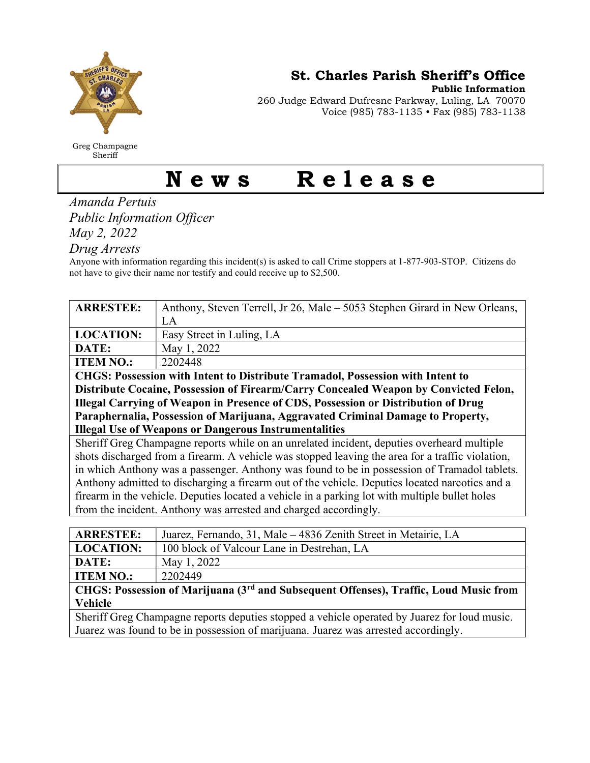

Greg Champagne Sheriff

St. Charles Parish Sheriff's Office

Public Information

260 Judge Edward Dufresne Parkway, Luling, LA 70070 Voice (985) 783-1135 • Fax (985) 783-1138

## News Release

Amanda Pertuis Public Information Officer

May 2, 2022

Drug Arrests

Anyone with information regarding this incident(s) is asked to call Crime stoppers at 1-877-903-STOP. Citizens do not have to give their name nor testify and could receive up to \$2,500.

| <b>ARRESTEE:</b>                                                                                  | Anthony, Steven Terrell, Jr 26, Male – 5053 Stephen Girard in New Orleans, |
|---------------------------------------------------------------------------------------------------|----------------------------------------------------------------------------|
|                                                                                                   | LA                                                                         |
| <b>LOCATION:</b>                                                                                  | Easy Street in Luling, LA                                                  |
| DATE:                                                                                             | May 1, 2022                                                                |
| <b>ITEM NO.:</b>                                                                                  | 2202448                                                                    |
| <b>CHGS: Possession with Intent to Distribute Tramadol, Possession with Intent to</b>             |                                                                            |
| Distribute Cocaine, Possession of Firearm/Carry Concealed Weapon by Convicted Felon,              |                                                                            |
| Illegal Carrying of Weapon in Presence of CDS, Possession or Distribution of Drug                 |                                                                            |
| Paraphernalia, Possession of Marijuana, Aggravated Criminal Damage to Property,                   |                                                                            |
| <b>Illegal Use of Weapons or Dangerous Instrumentalities</b>                                      |                                                                            |
| Sheriff Greg Champagne reports while on an unrelated incident, deputies overheard multiple        |                                                                            |
| shots discharged from a firearm. A vehicle was stopped leaving the area for a traffic violation,  |                                                                            |
| in which Anthony was a passenger. Anthony was found to be in possession of Tramadol tablets.      |                                                                            |
| Anthony admitted to discharging a firearm out of the vehicle. Deputies located narcotics and a    |                                                                            |
| firearm in the vehicle. Deputies located a vehicle in a parking lot with multiple bullet holes    |                                                                            |
| from the incident. Anthony was arrested and charged accordingly.                                  |                                                                            |
|                                                                                                   |                                                                            |
| <b>ARRESTEE:</b>                                                                                  | Juarez, Fernando, 31, Male – 4836 Zenith Street in Metairie, LA            |
| <b>LOCATION:</b>                                                                                  | 100 block of Valcour Lane in Destrehan, LA                                 |
| DATE:                                                                                             | May 1, 2022                                                                |
| <b>ITEM NO.:</b>                                                                                  | 2202449                                                                    |
| CHGS: Possession of Marijuana (3 <sup>rd</sup> and Subsequent Offenses), Traffic, Loud Music from |                                                                            |
| <b>Vehicle</b>                                                                                    |                                                                            |

Sheriff Greg Champagne reports deputies stopped a vehicle operated by Juarez for loud music. Juarez was found to be in possession of marijuana. Juarez was arrested accordingly.